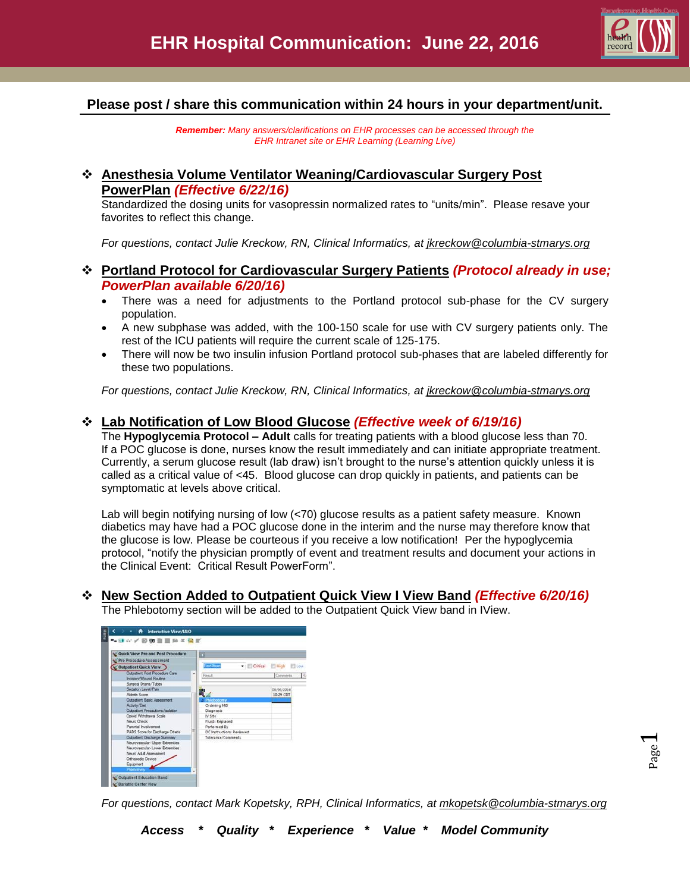

Page  $\overline{\phantom{0}}$ 

## **Please post / share this communication within 24 hours in your department/unit.**

*Remember: Many answers/clarifications on EHR processes can be accessed through the EHR Intranet site or EHR Learning (Learning Live)*

## **Anesthesia Volume Ventilator Weaning/Cardiovascular Surgery Post PowerPlan** *(Effective 6/22/16)*

Standardized the dosing units for vasopressin normalized rates to "units/min". Please resave your favorites to reflect this change.

*For questions, contact Julie Kreckow, RN, Clinical Informatics, at [jkreckow@columbia-stmarys.org](mailto:jkreckow@columbia-stmarys.org)*

- **Portland Protocol for Cardiovascular Surgery Patients** *(Protocol already in use; PowerPlan available 6/20/16)*
	- There was a need for adjustments to the Portland protocol sub-phase for the CV surgery population.
	- A new subphase was added, with the 100-150 scale for use with CV surgery patients only. The rest of the ICU patients will require the current scale of 125-175.
	- There will now be two insulin infusion Portland protocol sub-phases that are labeled differently for these two populations.

*For questions, contact Julie Kreckow, RN, Clinical Informatics, at [jkreckow@columbia-stmarys.org](mailto:jkreckow@columbia-stmarys.org)*

## **Lab Notification of Low Blood Glucose** *(Effective week of 6/19/16)*

The **Hypoglycemia Protocol – Adult** calls for treating patients with a blood glucose less than 70. If a POC glucose is done, nurses know the result immediately and can initiate appropriate treatment. Currently, a serum glucose result (lab draw) isn't brought to the nurse's attention quickly unless it is called as a critical value of <45. Blood glucose can drop quickly in patients, and patients can be symptomatic at levels above critical.

Lab will begin notifying nursing of low (<70) glucose results as a patient safety measure. Known diabetics may have had a POC glucose done in the interim and the nurse may therefore know that the glucose is low. Please be courteous if you receive a low notification! Per the hypoglycemia protocol, "notify the physician promptly of event and treatment results and document your actions in the Clinical Event: Critical Result PowerForm".

**New Section Added to Outpatient Quick View I View Band** *(Effective 6/20/16)*

The Phlebotomy section will be added to the Outpatient Quick View band in IView.



*For questions, contact Mark Kopetsky, RPH, Clinical Informatics, at [mkopetsk@columbia-stmarys.org](mailto:mkopetsk@columbia-stmarys.org)*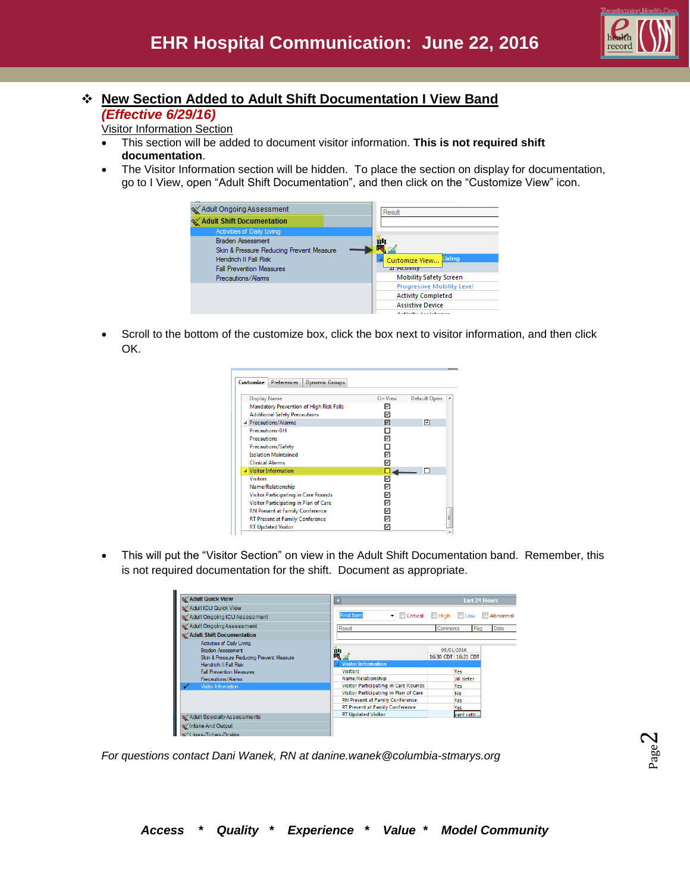

## **New Section Added to Adult Shift Documentation I View Band** *(Effective 6/29/16)*

Visitor Information Section

- This section will be added to document visitor information. **This is not required shift documentation**.
- The Visitor Information section will be hidden. To place the section on display for documentation, go to I View, open "Adult Shift Documentation", and then click on the "Customize View" icon.



 Scroll to the bottom of the customize box, click the box next to visitor information, and then click OK.

| Customize                               | <b>Preferences</b>        | <b>Dynamic Groups</b> |         |              |   |
|-----------------------------------------|---------------------------|-----------------------|---------|--------------|---|
| <b>Display Name</b>                     |                           |                       | On View | Default Open |   |
| Mandatory Prevention of High Risk Falls |                           |                       | ⊽       |              |   |
| <b>Additional Safety Precautions</b>    |                           |                       | ⊽       |              |   |
| 4 Precautions/Alarms                    |                           |                       | ⊽       | ☑            |   |
| <b>Precautions-BH</b>                   |                           |                       |         |              |   |
| <b>Precautions</b>                      |                           |                       | ⊽       |              |   |
| <b>Precautions/Safety</b>               |                           |                       |         |              |   |
| <b>Isolation Maintained</b>             |                           |                       | ⊽       |              |   |
| <b>Clinical Alarms</b>                  |                           |                       | ⊽       |              |   |
| △ Visitor Information                   |                           |                       |         |              |   |
| <b>Visitors</b>                         |                           |                       | ⊽       |              |   |
| Name/Relationship                       |                           |                       | ⊽       |              |   |
| Visitor Participating in Care Rounds    |                           |                       | ◸       |              |   |
| Visitor Participating in Plan of Care   |                           |                       | 1∽      |              |   |
| RN Present at Family Conference         |                           |                       | 1∽      |              |   |
| RT Present at Family Conference         |                           |                       | ⊽       |              | Ξ |
|                                         | <b>RT Updated Visitor</b> |                       | ⊽       |              |   |

 This will put the "Visitor Section" on view in the Adult Shift Documentation band. Remember, this is not required documentation for the shift. Document as appropriate.

| <b>X</b> Adult Quick View                                     |                                             | <b>Last 24 Hours</b>     |  |
|---------------------------------------------------------------|---------------------------------------------|--------------------------|--|
| Adult ICU Quick View                                          |                                             |                          |  |
| Adult Ongoing ICU Assessment                                  | <b>Find Item</b><br>Critical<br>▾           | High Low Abnormal        |  |
| Adult Ongoing Assessment                                      | Result                                      | Date<br>Comments<br>Flag |  |
| Adult Shift Documentation                                     |                                             |                          |  |
| <b>Activities of Daily Living</b><br><b>Braden Assessment</b> | ŵh                                          | 06/01/2016               |  |
| Skin & Pressure Reducing Prevent Measure                      | <b>4 Visitor Information</b>                | 16:30 CDT 16:21 CDT      |  |
| Hendrich II Fall Risk                                         | <b>Visitors</b>                             |                          |  |
| <b>Fall Prevention Measures</b>                               |                                             | Yes                      |  |
| Precautions/Alams                                             | Name/Relationship                           | Jill sister              |  |
| <b>Visitor Information</b><br>✓                               | <b>Visitor Participating in Care Rounds</b> | Yes                      |  |
|                                                               | Visitor Participating in Plan of Care       | No                       |  |
|                                                               | <b>RN Present at Family Conference</b>      | Yes                      |  |
|                                                               | RT Present at Family Conference             | Yes                      |  |
| Adult Specialty Assessments                                   | <b>RT Updated Visitor</b>                   | went setti               |  |
| of Intake And Output                                          |                                             |                          |  |
| AVI Inch Tuber Design                                         |                                             |                          |  |

*For questions contact Dani Wanek, RN at danine.wanek@columbia-stmarys.org*